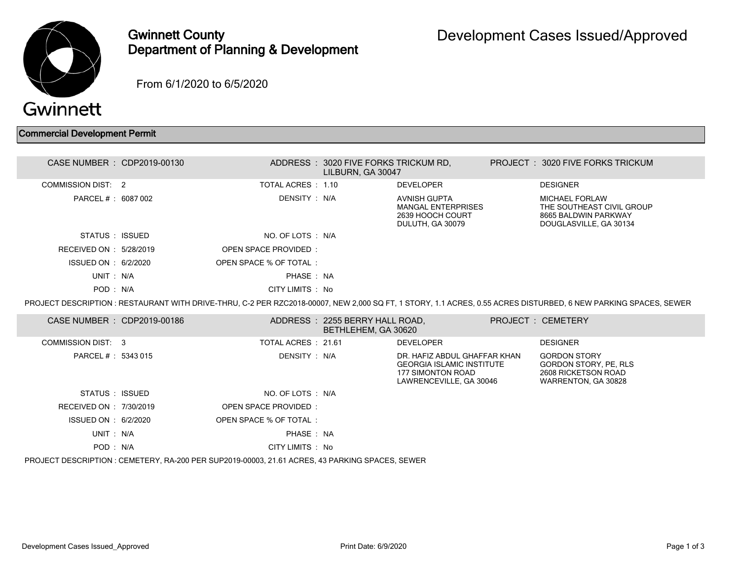

Gwinnett County Department of Planning & Development

From 6/1/2020 to 6/5/2020

## Commercial Development Permit

| CASE NUMBER : CDP2019-00130                                                                     |  |                        | ADDRESS: 3020 FIVE FORKS TRICKUM RD,<br>LILBURN, GA 30047 |                                                                                                                         |  | PROJECT: 3020 FIVE FORKS TRICKUM                                                                                                                                |  |  |
|-------------------------------------------------------------------------------------------------|--|------------------------|-----------------------------------------------------------|-------------------------------------------------------------------------------------------------------------------------|--|-----------------------------------------------------------------------------------------------------------------------------------------------------------------|--|--|
| <b>COMMISSION DIST: 2</b>                                                                       |  | TOTAL ACRES : 1.10     |                                                           | <b>DEVELOPER</b>                                                                                                        |  | <b>DESIGNER</b>                                                                                                                                                 |  |  |
| PARCEL # : 6087 002                                                                             |  | DENSITY : N/A          |                                                           | <b>AVNISH GUPTA</b><br><b>MANGAL ENTERPRISES</b><br>2639 HOOCH COURT<br>DULUTH, GA 30079                                |  | <b>MICHAEL FORLAW</b><br>THE SOUTHEAST CIVIL GROUP<br>8665 BALDWIN PARKWAY<br>DOUGLASVILLE, GA 30134                                                            |  |  |
| STATUS : ISSUED                                                                                 |  | NO. OF LOTS : N/A      |                                                           |                                                                                                                         |  |                                                                                                                                                                 |  |  |
| RECEIVED ON : 5/28/2019                                                                         |  | OPEN SPACE PROVIDED:   |                                                           |                                                                                                                         |  |                                                                                                                                                                 |  |  |
| ISSUED ON : 6/2/2020                                                                            |  | OPEN SPACE % OF TOTAL: |                                                           |                                                                                                                         |  |                                                                                                                                                                 |  |  |
| UNIT: N/A                                                                                       |  | PHASE: NA              |                                                           |                                                                                                                         |  |                                                                                                                                                                 |  |  |
| POD: N/A                                                                                        |  | CITY LIMITS : No       |                                                           |                                                                                                                         |  |                                                                                                                                                                 |  |  |
|                                                                                                 |  |                        |                                                           |                                                                                                                         |  | PROJECT DESCRIPTION : RESTAURANT WITH DRIVE-THRU, C-2 PER RZC2018-00007, NEW 2,000 SQ FT, 1 STORY, 1.1 ACRES, 0.55 ACRES DISTURBED, 6 NEW PARKING SPACES, SEWER |  |  |
| CASE NUMBER : CDP2019-00186                                                                     |  |                        | ADDRESS: 2255 BERRY HALL ROAD,<br>BETHLEHEM, GA 30620     |                                                                                                                         |  | <b>PROJECT: CEMETERY</b>                                                                                                                                        |  |  |
| COMMISSION DIST: 3                                                                              |  | TOTAL ACRES: 21.61     |                                                           | <b>DEVELOPER</b>                                                                                                        |  | <b>DESIGNER</b>                                                                                                                                                 |  |  |
| PARCEL # : 5343 015                                                                             |  | DENSITY : N/A          |                                                           | DR. HAFIZ ABDUL GHAFFAR KHAN<br><b>GEORGIA ISLAMIC INSTITUTE</b><br><b>177 SIMONTON ROAD</b><br>LAWRENCEVILLE, GA 30046 |  | <b>GORDON STORY</b><br>GORDON STORY, PE, RLS<br>2608 RICKETSON ROAD<br>WARRENTON, GA 30828                                                                      |  |  |
| STATUS : ISSUED                                                                                 |  | NO. OF LOTS : N/A      |                                                           |                                                                                                                         |  |                                                                                                                                                                 |  |  |
| RECEIVED ON : 7/30/2019                                                                         |  | OPEN SPACE PROVIDED:   |                                                           |                                                                                                                         |  |                                                                                                                                                                 |  |  |
| ISSUED ON : 6/2/2020                                                                            |  | OPEN SPACE % OF TOTAL: |                                                           |                                                                                                                         |  |                                                                                                                                                                 |  |  |
| UNIT: N/A                                                                                       |  | PHASE: NA              |                                                           |                                                                                                                         |  |                                                                                                                                                                 |  |  |
| POD: N/A                                                                                        |  | CITY LIMITS : No       |                                                           |                                                                                                                         |  |                                                                                                                                                                 |  |  |
| PROJECT DESCRIPTION : CEMETERY, RA-200 PER SUP2019-00003, 21.61 ACRES, 43 PARKING SPACES, SEWER |  |                        |                                                           |                                                                                                                         |  |                                                                                                                                                                 |  |  |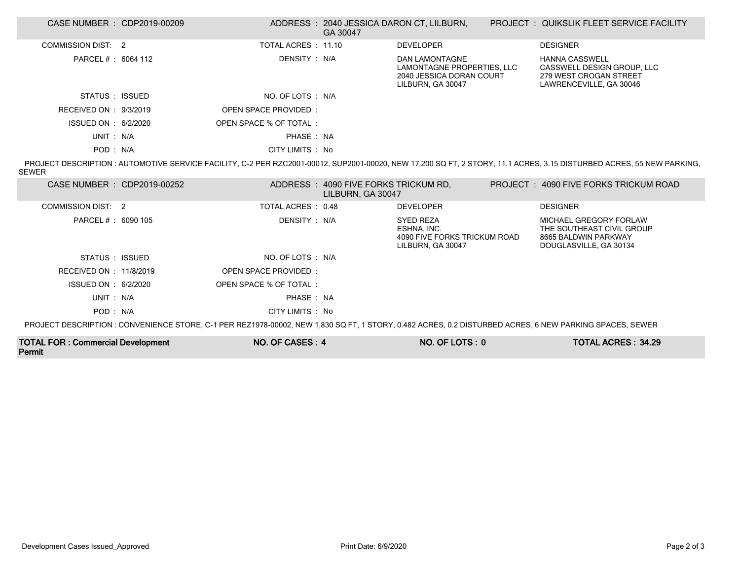| CASE NUMBER : CDP2019-00209                                                                                                                             |  |                             | GA 30047                                                  | ADDRESS : 2040 JESSICA DARON CT, LILBURN,                                                            |  | <b>PROJECT : QUIKSLIK FLEET SERVICE FACILITY</b>                                                                                                                     |  |
|---------------------------------------------------------------------------------------------------------------------------------------------------------|--|-----------------------------|-----------------------------------------------------------|------------------------------------------------------------------------------------------------------|--|----------------------------------------------------------------------------------------------------------------------------------------------------------------------|--|
| COMMISSION DIST: 2                                                                                                                                      |  | TOTAL ACRES : 11.10         |                                                           | <b>DEVELOPER</b>                                                                                     |  | <b>DESIGNER</b>                                                                                                                                                      |  |
| PARCEL # : 6064 112                                                                                                                                     |  | DENSITY : N/A               |                                                           | <b>DAN LAMONTAGNE</b><br>LAMONTAGNE PROPERTIES, LLC<br>2040 JESSICA DORAN COURT<br>LILBURN, GA 30047 |  | <b>HANNA CASSWELL</b><br>CASSWELL DESIGN GROUP, LLC<br>279 WEST CROGAN STREET<br>LAWRENCEVILLE, GA 30046                                                             |  |
| STATUS : ISSUED                                                                                                                                         |  | NO. OF LOTS : N/A           |                                                           |                                                                                                      |  |                                                                                                                                                                      |  |
| RECEIVED ON : 9/3/2019                                                                                                                                  |  | OPEN SPACE PROVIDED:        |                                                           |                                                                                                      |  |                                                                                                                                                                      |  |
| ISSUED ON : 6/2/2020                                                                                                                                    |  | OPEN SPACE % OF TOTAL:      |                                                           |                                                                                                      |  |                                                                                                                                                                      |  |
| UNIT: N/A                                                                                                                                               |  | PHASE: NA                   |                                                           |                                                                                                      |  |                                                                                                                                                                      |  |
| POD: N/A                                                                                                                                                |  | CITY LIMITS : No            |                                                           |                                                                                                      |  |                                                                                                                                                                      |  |
| <b>SEWER</b>                                                                                                                                            |  |                             |                                                           |                                                                                                      |  | PROJECT DESCRIPTION: AUTOMOTIVE SERVICE FACILITY, C-2 PER RZC2001-00012, SUP2001-00020, NEW 17.200 SQ FT, 2 STORY, 11.1 ACRES, 3.15 DISTURBED ACRES, 55 NEW PARKING, |  |
| CASE NUMBER : CDP2019-00252                                                                                                                             |  |                             | ADDRESS: 4090 FIVE FORKS TRICKUM RD,<br>LILBURN, GA 30047 |                                                                                                      |  | PROJECT: 4090 FIVE FORKS TRICKUM ROAD                                                                                                                                |  |
| COMMISSION DIST: 2                                                                                                                                      |  | TOTAL ACRES: 0.48           |                                                           | <b>DEVELOPER</b>                                                                                     |  | <b>DESIGNER</b>                                                                                                                                                      |  |
| PARCEL # : 6090 105                                                                                                                                     |  | DENSITY: N/A                |                                                           | <b>SYED REZA</b><br>ESHNA, INC.<br>4090 FIVE FORKS TRICKUM ROAD<br>LILBURN, GA 30047                 |  | MICHAEL GREGORY FORLAW<br>THE SOUTHEAST CIVIL GROUP<br>8665 BALDWIN PARKWAY<br>DOUGLASVILLE, GA 30134                                                                |  |
| STATUS : ISSUED                                                                                                                                         |  | NO. OF LOTS : N/A           |                                                           |                                                                                                      |  |                                                                                                                                                                      |  |
| RECEIVED ON : 11/8/2019                                                                                                                                 |  | <b>OPEN SPACE PROVIDED:</b> |                                                           |                                                                                                      |  |                                                                                                                                                                      |  |
| ISSUED ON : 6/2/2020                                                                                                                                    |  | OPEN SPACE % OF TOTAL :     |                                                           |                                                                                                      |  |                                                                                                                                                                      |  |
| UNIT: N/A                                                                                                                                               |  | PHASE: NA                   |                                                           |                                                                                                      |  |                                                                                                                                                                      |  |
| POD: N/A                                                                                                                                                |  | CITY LIMITS : No            |                                                           |                                                                                                      |  |                                                                                                                                                                      |  |
| PROJECT DESCRIPTION : CONVENIENCE STORE, C-1 PER REZ1978-00002, NEW 1,830 SQ FT, 1 STORY, 0.482 ACRES, 0.2 DISTURBED ACRES, 6 NEW PARKING SPACES, SEWER |  |                             |                                                           |                                                                                                      |  |                                                                                                                                                                      |  |
| <b>TOTAL FOR: Commercial Development</b>                                                                                                                |  | NO. OF CASES: 4             |                                                           | NO. OF LOTS: 0                                                                                       |  | <b>TOTAL ACRES: 34.29</b>                                                                                                                                            |  |

Permit